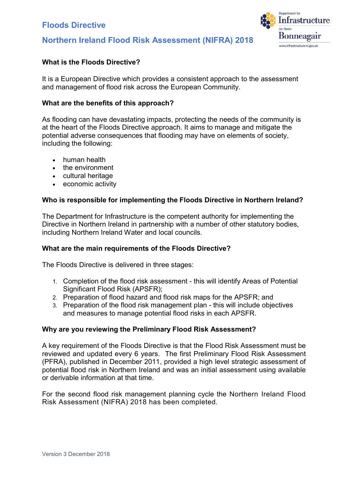# Floods Directive





# What is the Floods Directive?

 It is a European Directive which provides a consistent approach to the assessment and management of flood risk across the European Community.

# What are the benefits of this approach?

 As flooding can have devastating impacts, protecting the needs of the community is at the heart of the Floods Directive approach. It aims to manage and mitigate the potential adverse consequences that flooding may have on elements of society, including the following:

- human health
- the environment
- cultural heritage
- economic activity

# Who is responsible for implementing the Floods Directive in Northern Ireland?

 The Department for Infrastructure is the competent authority for implementing the Directive in Northern Ireland in partnership with a number of other statutory bodies, including Northern Ireland Water and local councils.

# What are the main requirements of the Floods Directive?

The Floods Directive is delivered in three stages:

- 1. Completion of the flood risk assessment this will identify Areas of Potential Significant Flood Risk (APSFR);
- 2. Preparation of flood hazard and flood risk maps for the APSFR; and
- 3. Preparation of the flood risk management plan this will include objectives and measures to manage potential flood risks in each APSFR.

# Why are you reviewing the Preliminary Flood Risk Assessment?

 A key requirement of the Floods Directive is that the Flood Risk Assessment must be reviewed and updated every 6 years. The first Preliminary Flood Risk Assessment (PFRA), published in December 2011, provided a high level strategic assessment of potential flood risk in Northern Ireland and was an initial assessment using available or derivable information at that time.

 For the second flood risk management planning cycle the Northern Ireland Flood Risk Assessment (NIFRA) 2018 has been completed.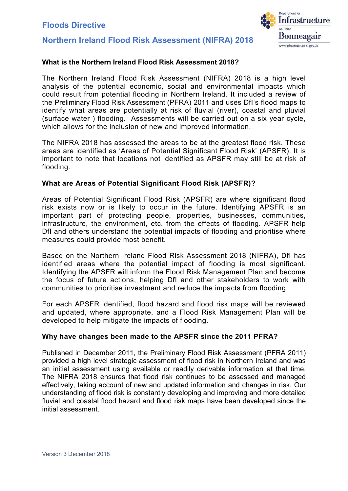



# What is the Northern Ireland Flood Risk Assessment 2018?

 The Northern Ireland Flood Risk Assessment (NIFRA) 2018 is a high level analysis of the potential economic, social and environmental impacts which could result from potential flooding in Northern Ireland. It included a review of the Preliminary Flood Risk Assessment (PFRA) 2011 and uses DfI's flood maps to identify what areas are potentially at risk of fluvial (river), coastal and pluvial (surface water ) flooding. Assessments will be carried out on a six year cycle, which allows for the inclusion of new and improved information.

 The NIFRA 2018 has assessed the areas to be at the greatest flood risk. These areas are identified as 'Areas of Potential Significant Flood Risk' (APSFR). It is important to note that locations not identified as APSFR may still be at risk of flooding.

# What are Areas of Potential Significant Flood Risk (APSFR)?

 Areas of Potential Significant Flood Risk (APSFR) are where significant flood risk exists now or is likely to occur in the future. Identifying APSFR is an important part of protecting people, properties, businesses, communities, infrastructure, the environment, etc. from the effects of flooding. APSFR help DfI and others understand the potential impacts of flooding and prioritise where measures could provide most benefit.

 Based on the Northern Ireland Flood Risk Assessment 2018 (NIFRA), DfI has identified areas where the potential impact of flooding is most significant. Identifying the APSFR will inform the Flood Risk Management Plan and become the focus of future actions, helping DfI and other stakeholders to work with communities to prioritise investment and reduce the impacts from flooding.

 For each APSFR identified, flood hazard and flood risk maps will be reviewed and updated, where appropriate, and a Flood Risk Management Plan will be developed to help mitigate the impacts of flooding.

# Why have changes been made to the APSFR since the 2011 PFRA?

 Published in December 2011, the Preliminary Flood Risk Assessment (PFRA 2011) provided a high level strategic assessment of flood risk in Northern Ireland and was an initial assessment using available or readily derivable information at that time. The NIFRA 2018 ensures that flood risk continues to be assessed and managed effectively, taking account of new and updated information and changes in risk. Our understanding of flood risk is constantly developing and improving and more detailed fluvial and coastal flood hazard and flood risk maps have been developed since the initial assessment.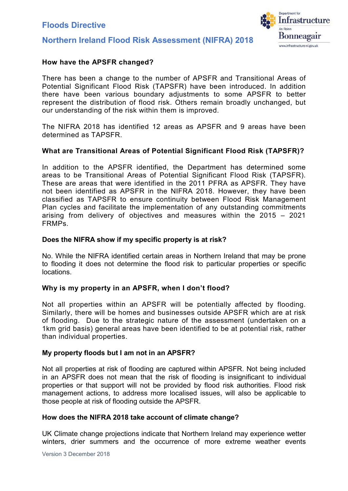

# Northern Ireland Flood Risk Assessment (NIFRA) 2018

# How have the APSFR changed?

 There has been a change to the number of APSFR and Transitional Areas of Potential Significant Flood Risk (TAPSFR) have been introduced. In addition there have been various boundary adjustments to some APSFR to better represent the distribution of flood risk. Others remain broadly unchanged, but our understanding of the risk within them is improved.

 The NIFRA 2018 has identified 12 areas as APSFR and 9 areas have been determined as TAPSFR.

# What are Transitional Areas of Potential Significant Flood Risk (TAPSFR)?

 In addition to the APSFR identified, the Department has determined some areas to be Transitional Areas of Potential Significant Flood Risk (TAPSFR). These are areas that were identified in the 2011 PFRA as APSFR. They have not been identified as APSFR in the NIFRA 2018. However, they have been classified as TAPSFR to ensure continuity between Flood Risk Management Plan cycles and facilitate the implementation of any outstanding commitments arising from delivery of objectives and measures within the 2015 – 2021 FRMPs.

# Does the NIFRA show if my specific property is at risk?

 No. While the NIFRA identified certain areas in Northern Ireland that may be prone to flooding it does not determine the flood risk to particular properties or specific locations.

# Why is my property in an APSFR, when I don't flood?

 Not all properties within an APSFR will be potentially affected by flooding. Similarly, there will be homes and businesses outside APSFR which are at risk of flooding. Due to the strategic nature of the assessment (undertaken on a 1km grid basis) general areas have been identified to be at potential risk, rather than individual properties.

# My property floods but I am not in an APSFR?

 Not all properties at risk of flooding are captured within APSFR. Not being included in an APSFR does not mean that the risk of flooding is insignificant to individual properties or that support will not be provided by flood risk authorities. Flood risk management actions, to address more localised issues, will also be applicable to those people at risk of flooding outside the APSFR.

# How does the NIFRA 2018 take account of climate change?

 UK Climate change projections indicate that Northern Ireland may experience wetter winters, drier summers and the occurrence of more extreme weather events